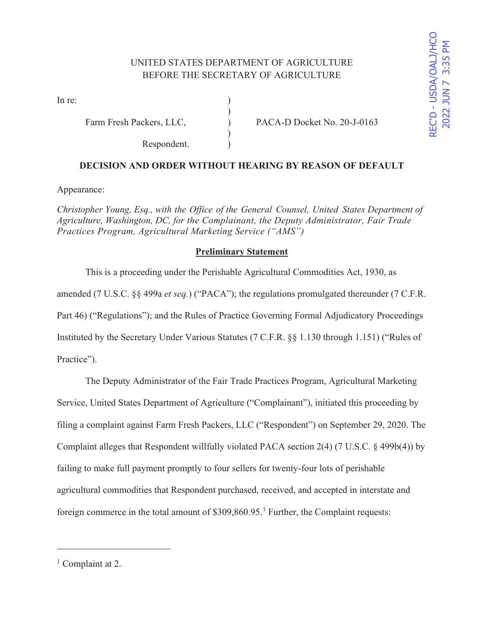In re:  $\qquad \qquad$  )

Respondent. )

Farm Fresh Packers, LLC,  $PACA-D Docket No. 20-J-0163$ 

# **DECISION AND ORDER WITHOUT HEARING BY REASON OF DEFAULT**

)

 $\mathcal{L}$ 

Appearance:

*Christopher Young, Esq., with the Office of the General Counsel, United States Department of Agriculture, Washington, DC, for the Complainant, the Deputy Administrator, Fair Trade Practices Program, Agricultural Marketing Service ("AMS")* 

## **Preliminary Statement**

 This is a proceeding under the Perishable Agricultural Commodities Act, 1930, as amended (7 U.S.C. §§ 499a *et seq.*) ("PACA"); the regulations promulgated thereunder (7 C.F.R. Part 46) ("Regulations"); and the Rules of Practice Governing Formal Adjudicatory Proceedings Instituted by the Secretary Under Various Statutes (7 C.F.R. §§ 1.130 through 1.151) ("Rules of Practice").

 The Deputy Administrator of the Fair Trade Practices Program, Agricultural Marketing Service, United States Department of Agriculture ("Complainant"), initiated this proceeding by filing a complaint against Farm Fresh Packers, LLC ("Respondent") on September 29, 2020. The Complaint alleges that Respondent willfully violated PACA section 2(4) (7 U.S.C. § 499b(4)) by failing to make full payment promptly to four sellers for twenty-four lots of perishable agricultural commodities that Respondent purchased, received, and accepted in interstate and foreign commerce in the total amount of  $$309,860.95$ .<sup>1</sup> Further, the Complaint requests:

<sup>&</sup>lt;sup>1</sup> Complaint at 2.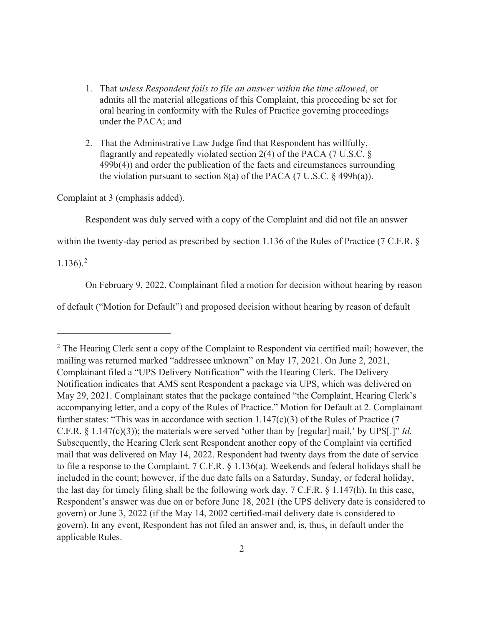- 1. That *unless Respondent fails to file an answer within the time allowed*, or admits all the material allegations of this Complaint, this proceeding be set for oral hearing in conformity with the Rules of Practice governing proceedings under the PACA; and
- 2. That the Administrative Law Judge find that Respondent has willfully, flagrantly and repeatedly violated section 2(4) of the PACA (7 U.S.C. § 499b(4)) and order the publication of the facts and circumstances surrounding the violation pursuant to section  $8(a)$  of the PACA (7 U.S.C. § 499h(a)).

Complaint at 3 (emphasis added).

Respondent was duly served with a copy of the Complaint and did not file an answer

within the twenty-day period as prescribed by section 1.136 of the Rules of Practice (7 C.F.R. §

 $1.136$ ).<sup>2</sup>

On February 9, 2022, Complainant filed a motion for decision without hearing by reason

of default ("Motion for Default") and proposed decision without hearing by reason of default

 $2$  The Hearing Clerk sent a copy of the Complaint to Respondent via certified mail; however, the mailing was returned marked "addressee unknown" on May 17, 2021. On June 2, 2021, Complainant filed a "UPS Delivery Notification" with the Hearing Clerk. The Delivery Notification indicates that AMS sent Respondent a package via UPS, which was delivered on May 29, 2021. Complainant states that the package contained "the Complaint, Hearing Clerk's accompanying letter, and a copy of the Rules of Practice." Motion for Default at 2. Complainant further states: "This was in accordance with section  $1.147(c)(3)$  of the Rules of Practice (7 C.F.R. § 1.147(c)(3)); the materials were served 'other than by [regular] mail,' by UPS[.]" *Id.*  Subsequently, the Hearing Clerk sent Respondent another copy of the Complaint via certified mail that was delivered on May 14, 2022. Respondent had twenty days from the date of service to file a response to the Complaint. 7 C.F.R. § 1.136(a). Weekends and federal holidays shall be included in the count; however, if the due date falls on a Saturday, Sunday, or federal holiday, the last day for timely filing shall be the following work day. 7 C.F.R. § 1.147(h). In this case, Respondent's answer was due on or before June 18, 2021 (the UPS delivery date is considered to govern) or June 3, 2022 (if the May 14, 2002 certified-mail delivery date is considered to govern). In any event, Respondent has not filed an answer and, is, thus, in default under the applicable Rules.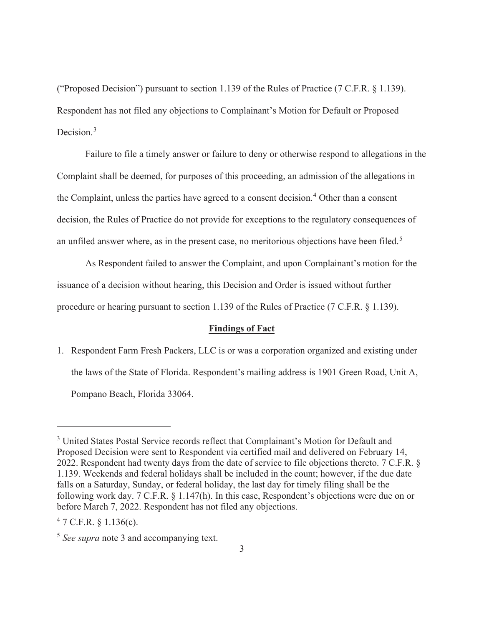("Proposed Decision") pursuant to section 1.139 of the Rules of Practice (7 C.F.R. § 1.139). Respondent has not filed any objections to Complainant's Motion for Default or Proposed Decision.<sup>3</sup>

 Failure to file a timely answer or failure to deny or otherwise respond to allegations in the Complaint shall be deemed, for purposes of this proceeding, an admission of the allegations in the Complaint, unless the parties have agreed to a consent decision.<sup>4</sup> Other than a consent decision, the Rules of Practice do not provide for exceptions to the regulatory consequences of an unfiled answer where, as in the present case, no meritorious objections have been filed.<sup>5</sup>

 As Respondent failed to answer the Complaint, and upon Complainant's motion for the issuance of a decision without hearing, this Decision and Order is issued without further procedure or hearing pursuant to section 1.139 of the Rules of Practice (7 C.F.R. § 1.139).

#### **Findings of Fact**

1. Respondent Farm Fresh Packers, LLC is or was a corporation organized and existing under the laws of the State of Florida. Respondent's mailing address is 1901 Green Road, Unit A, Pompano Beach, Florida 33064.

<sup>&</sup>lt;sup>3</sup> United States Postal Service records reflect that Complainant's Motion for Default and Proposed Decision were sent to Respondent via certified mail and delivered on February 14, 2022. Respondent had twenty days from the date of service to file objections thereto. 7 C.F.R. § 1.139. Weekends and federal holidays shall be included in the count; however, if the due date falls on a Saturday, Sunday, or federal holiday, the last day for timely filing shall be the following work day. 7 C.F.R. § 1.147(h). In this case, Respondent's objections were due on or before March 7, 2022. Respondent has not filed any objections.

 $47$  C.F.R. § 1.136(c).

<sup>5</sup> *See supra* note 3 and accompanying text.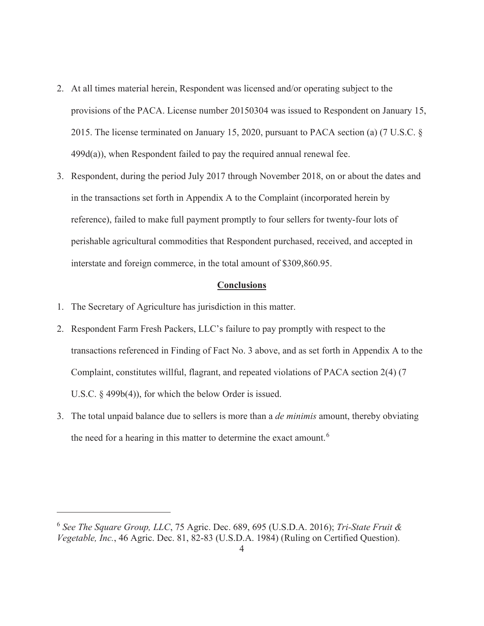- 2. At all times material herein, Respondent was licensed and/or operating subject to the provisions of the PACA. License number 20150304 was issued to Respondent on January 15, 2015. The license terminated on January 15, 2020, pursuant to PACA section (a) (7 U.S.C. § 499d(a)), when Respondent failed to pay the required annual renewal fee.
- 3. Respondent, during the period July 2017 through November 2018, on or about the dates and in the transactions set forth in Appendix A to the Complaint (incorporated herein by reference), failed to make full payment promptly to four sellers for twenty-four lots of perishable agricultural commodities that Respondent purchased, received, and accepted in interstate and foreign commerce, in the total amount of \$309,860.95.

### **Conclusions**

- 1. The Secretary of Agriculture has jurisdiction in this matter.
- 2. Respondent Farm Fresh Packers, LLC's failure to pay promptly with respect to the transactions referenced in Finding of Fact No. 3 above, and as set forth in Appendix A to the Complaint, constitutes willful, flagrant, and repeated violations of PACA section 2(4) (7 U.S.C. § 499b(4)), for which the below Order is issued.
- 3. The total unpaid balance due to sellers is more than a *de minimis* amount, thereby obviating the need for a hearing in this matter to determine the exact amount.<sup>6</sup>

<sup>6</sup> *See The Square Group, LLC*, 75 Agric. Dec. 689, 695 (U.S.D.A. 2016); *Tri-State Fruit & Vegetable, Inc.*, 46 Agric. Dec. 81, 82-83 (U.S.D.A. 1984) (Ruling on Certified Question).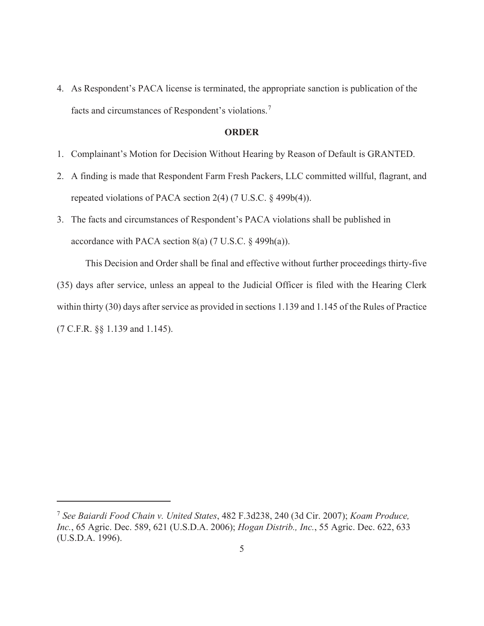4. As Respondent's PACA license is terminated, the appropriate sanction is publication of the facts and circumstances of Respondent's violations.<sup>7</sup>

#### **ORDER**

- 1. Complainant's Motion for Decision Without Hearing by Reason of Default is GRANTED.
- 2. A finding is made that Respondent Farm Fresh Packers, LLC committed willful, flagrant, and repeated violations of PACA section 2(4) (7 U.S.C. § 499b(4)).
- 3. The facts and circumstances of Respondent's PACA violations shall be published in accordance with PACA section  $8(a)$  (7 U.S.C.  $\S$  499h(a)).

 This Decision and Order shall be final and effective without further proceedings thirty-five (35) days after service, unless an appeal to the Judicial Officer is filed with the Hearing Clerk within thirty (30) days after service as provided in sections 1.139 and 1.145 of the Rules of Practice (7 C.F.R. §§ 1.139 and 1.145).

<sup>7</sup> *See Baiardi Food Chain v. United States*, 482 F.3d238, 240 (3d Cir. 2007); *Koam Produce, Inc.*, 65 Agric. Dec. 589, 621 (U.S.D.A. 2006); *Hogan Distrib., Inc.*, 55 Agric. Dec. 622, 633 (U.S.D.A. 1996).